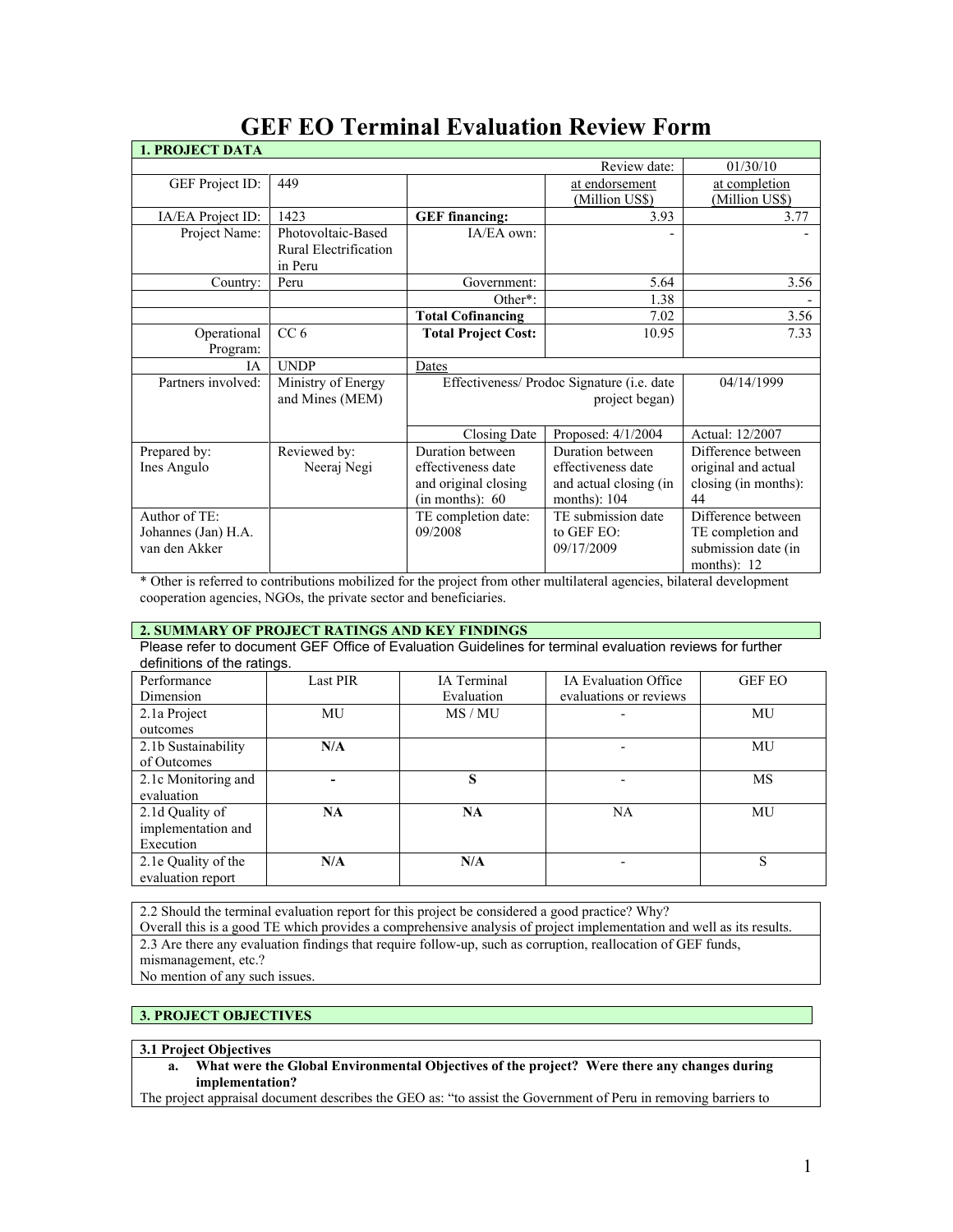| <b>1. PROJECT DATA</b> |                       |                                            |                        |                      |
|------------------------|-----------------------|--------------------------------------------|------------------------|----------------------|
|                        |                       |                                            | Review date:           | 01/30/10             |
| GEF Project ID:        | 449                   |                                            | at endorsement         | at completion        |
|                        |                       |                                            | (Million US\$)         | (Million US\$)       |
| IA/EA Project ID:      | 1423                  | <b>GEF</b> financing:                      | 3.93                   | 3.77                 |
| Project Name:          | Photovoltaic-Based    | IA/EA own:                                 |                        |                      |
|                        | Rural Electrification |                                            |                        |                      |
|                        | in Peru               |                                            |                        |                      |
| Country:               | Peru                  | Government:                                | 5.64                   | 3.56                 |
|                        |                       | Other*:                                    | 1.38                   |                      |
|                        |                       | <b>Total Cofinancing</b>                   | 7.02                   | 3.56                 |
| Operational            | CC <sub>6</sub>       | <b>Total Project Cost:</b>                 | 10.95                  | 7.33                 |
| Program:               |                       |                                            |                        |                      |
| <b>IA</b>              | <b>UNDP</b>           | Dates                                      |                        |                      |
| Partners involved:     | Ministry of Energy    | Effectiveness/ Prodoc Signature (i.e. date |                        | 04/14/1999           |
|                        | and Mines (MEM)       | project began)                             |                        |                      |
|                        |                       |                                            |                        |                      |
|                        |                       | Closing Date                               | Proposed: 4/1/2004     | Actual: 12/2007      |
| Prepared by:           | Reviewed by:          | Duration between                           | Duration between       | Difference between   |
| Ines Angulo            | Neeraj Negi           | effectiveness date                         | effectiveness date     | original and actual  |
|                        |                       | and original closing                       | and actual closing (in | closing (in months): |
|                        |                       | (in months): 60                            | months): $104$         | 44                   |
| Author of TE:          |                       | TE completion date:                        | TE submission date     | Difference between   |
| Johannes (Jan) H.A.    |                       | 09/2008                                    | to GEF EO:             | TE completion and    |
| van den Akker          |                       |                                            | 09/17/2009             | submission date (in  |
|                        |                       |                                            |                        | months): 12          |

# **GEF EO Terminal Evaluation Review Form**

\* Other is referred to contributions mobilized for the project from other multilateral agencies, bilateral development cooperation agencies, NGOs, the private sector and beneficiaries.

# **2. SUMMARY OF PROJECT RATINGS AND KEY FINDINGS**

Please refer to document GEF Office of Evaluation Guidelines for terminal evaluation reviews for further definitions of the ratings.

| Performance         | <b>Last PIR</b> | <b>IA</b> Terminal | <b>IA Evaluation Office</b> | <b>GEF EO</b> |
|---------------------|-----------------|--------------------|-----------------------------|---------------|
| Dimension           |                 | Evaluation         | evaluations or reviews      |               |
| 2.1a Project        | MU              | MS / MU            |                             | MU            |
| outcomes            |                 |                    |                             |               |
| 2.1b Sustainability | N/A             |                    |                             | MU            |
| of Outcomes         |                 |                    |                             |               |
| 2.1c Monitoring and |                 | S                  |                             | MS            |
| evaluation          |                 |                    |                             |               |
| 2.1d Quality of     | NA              | NA                 | <b>NA</b>                   | MU            |
| implementation and  |                 |                    |                             |               |
| Execution           |                 |                    |                             |               |
| 2.1e Quality of the | N/A             | N/A                |                             | S             |
| evaluation report   |                 |                    |                             |               |

2.2 Should the terminal evaluation report for this project be considered a good practice? Why?

Overall this is a good TE which provides a comprehensive analysis of project implementation and well as its results. 2.3 Are there any evaluation findings that require follow-up, such as corruption, reallocation of GEF funds, mismanagement, etc.?

No mention of any such issues.

# **3. PROJECT OBJECTIVES**

# **3.1 Project Objectives**

**a. What were the Global Environmental Objectives of the project? Were there any changes during implementation?** 

The project appraisal document describes the GEO as: "to assist the Government of Peru in removing barriers to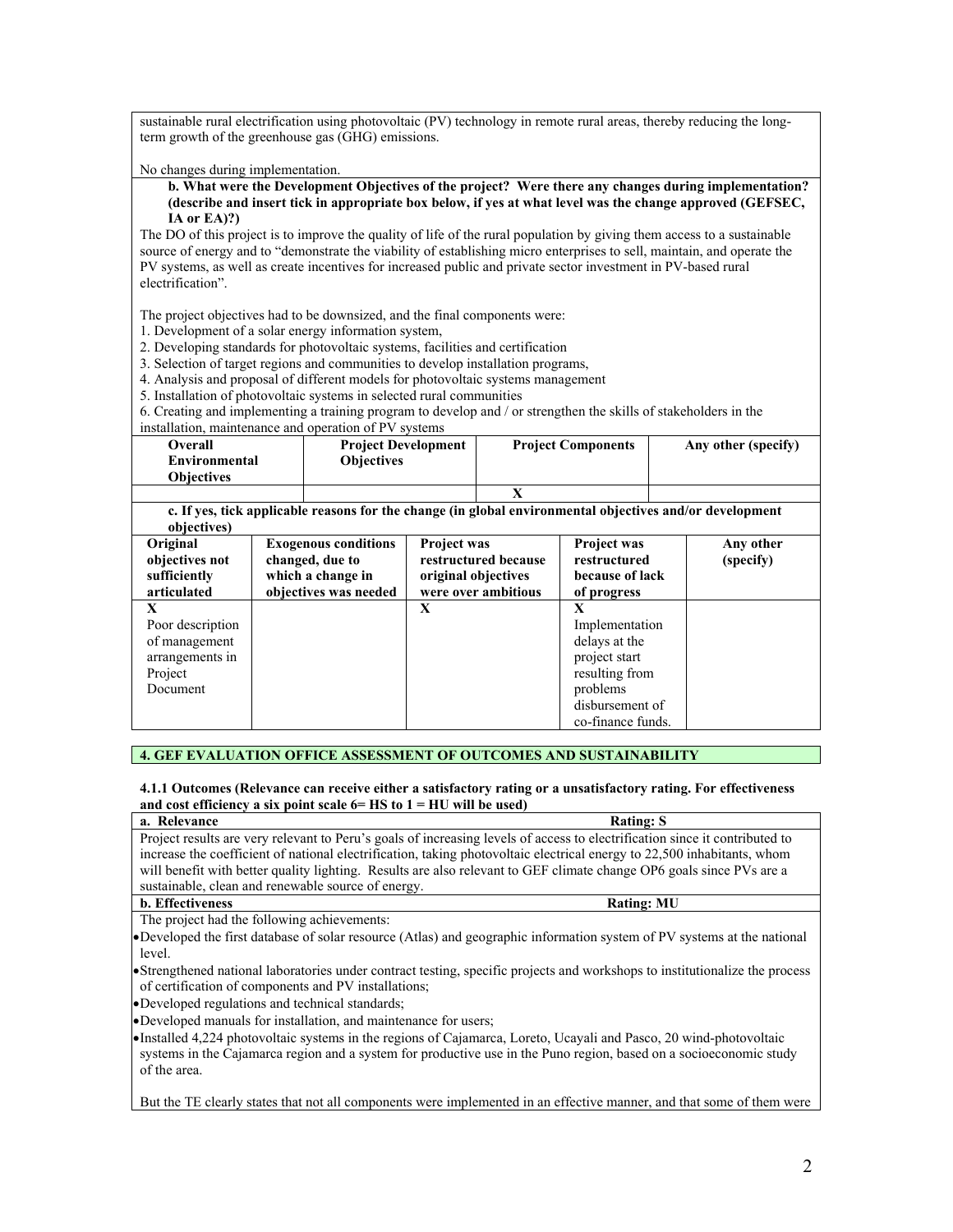sustainable rural electrification using photovoltaic (PV) technology in remote rural areas, thereby reducing the longterm growth of the greenhouse gas (GHG) emissions.

No changes during implementation.

#### **b. What were the Development Objectives of the project? Were there any changes during implementation? (describe and insert tick in appropriate box below, if yes at what level was the change approved (GEFSEC, IA or EA)?)**

The DO of this project is to improve the quality of life of the rural population by giving them access to a sustainable source of energy and to "demonstrate the viability of establishing micro enterprises to sell, maintain, and operate the PV systems, as well as create incentives for increased public and private sector investment in PV-based rural electrification".

The project objectives had to be downsized, and the final components were:

1. Development of a solar energy information system,

- 2. Developing standards for photovoltaic systems, facilities and certification
- 3. Selection of target regions and communities to develop installation programs,

4. Analysis and proposal of different models for photovoltaic systems management

5. Installation of photovoltaic systems in selected rural communities

6. Creating and implementing a training program to develop and / or strengthen the skills of stakeholders in the installation, maintenance and operation of PV systems

| $\frac{1}{100}$ |                            |                           |                     |
|-----------------|----------------------------|---------------------------|---------------------|
| Overall         | <b>Project Development</b> | <b>Project Components</b> | Any other (specify) |
| Environmental   | <b>Objectives</b>          |                           |                     |
| Obiectives      |                            |                           |                     |
|                 |                            |                           |                     |

**c. If yes, tick applicable reasons for the change (in global environmental objectives and/or development objectives)**

| 0.0100011001<br>Original<br>objectives not<br>sufficiently<br>articulated        | <b>Exogenous conditions</b><br>changed, due to<br>which a change in<br>objectives was needed | <b>Project was</b><br>restructured because<br>original objectives<br>were over ambitious | <b>Project was</b><br>restructured<br>because of lack<br>of progress                                                        | Any other<br>(specify) |
|----------------------------------------------------------------------------------|----------------------------------------------------------------------------------------------|------------------------------------------------------------------------------------------|-----------------------------------------------------------------------------------------------------------------------------|------------------------|
| X<br>Poor description<br>of management<br>arrangements in<br>Project<br>Document |                                                                                              | X                                                                                        | X<br>Implementation<br>delays at the<br>project start<br>resulting from<br>problems<br>disbursement of<br>co-finance funds. |                        |

# **4. GEF EVALUATION OFFICE ASSESSMENT OF OUTCOMES AND SUSTAINABILITY**

#### **4.1.1 Outcomes (Relevance can receive either a satisfactory rating or a unsatisfactory rating. For effectiveness**  and cost efficiency a six point scale  $6 = HS$  to  $1 = HU$  will be used)

| a. Relevance<br><b>Rating: S</b>                                                                                                                                                                                                                          |  |  |  |
|-----------------------------------------------------------------------------------------------------------------------------------------------------------------------------------------------------------------------------------------------------------|--|--|--|
| Project results are very relevant to Peru's goals of increasing levels of access to electrification since it contributed to                                                                                                                               |  |  |  |
| increase the coefficient of national electrification, taking photovoltaic electrical energy to 22,500 inhabitants, whom                                                                                                                                   |  |  |  |
| will benefit with better quality lighting. Results are also relevant to GEF climate change OP6 goals since PVs are a                                                                                                                                      |  |  |  |
| sustainable, clean and renewable source of energy.                                                                                                                                                                                                        |  |  |  |
| <b>b.</b> Effectiveness<br><b>Rating: MU</b>                                                                                                                                                                                                              |  |  |  |
| The project had the following achievements:                                                                                                                                                                                                               |  |  |  |
| •Developed the first database of solar resource (Atlas) and geographic information system of PV systems at the national                                                                                                                                   |  |  |  |
| level.                                                                                                                                                                                                                                                    |  |  |  |
| • Strengthened national laboratories under contract testing, specific projects and workshops to institutionalize the process<br>of certification of components and PV installations;                                                                      |  |  |  |
| •Developed regulations and technical standards;                                                                                                                                                                                                           |  |  |  |
| •Developed manuals for installation, and maintenance for users;                                                                                                                                                                                           |  |  |  |
| • Installed 4,224 photovoltaic systems in the regions of Cajamarca, Loreto, Ucayali and Pasco, 20 wind-photovoltaic<br>systems in the Cajamarca region and a system for productive use in the Puno region, based on a socioeconomic study<br>of the area. |  |  |  |

But the TE clearly states that not all components were implemented in an effective manner, and that some of them were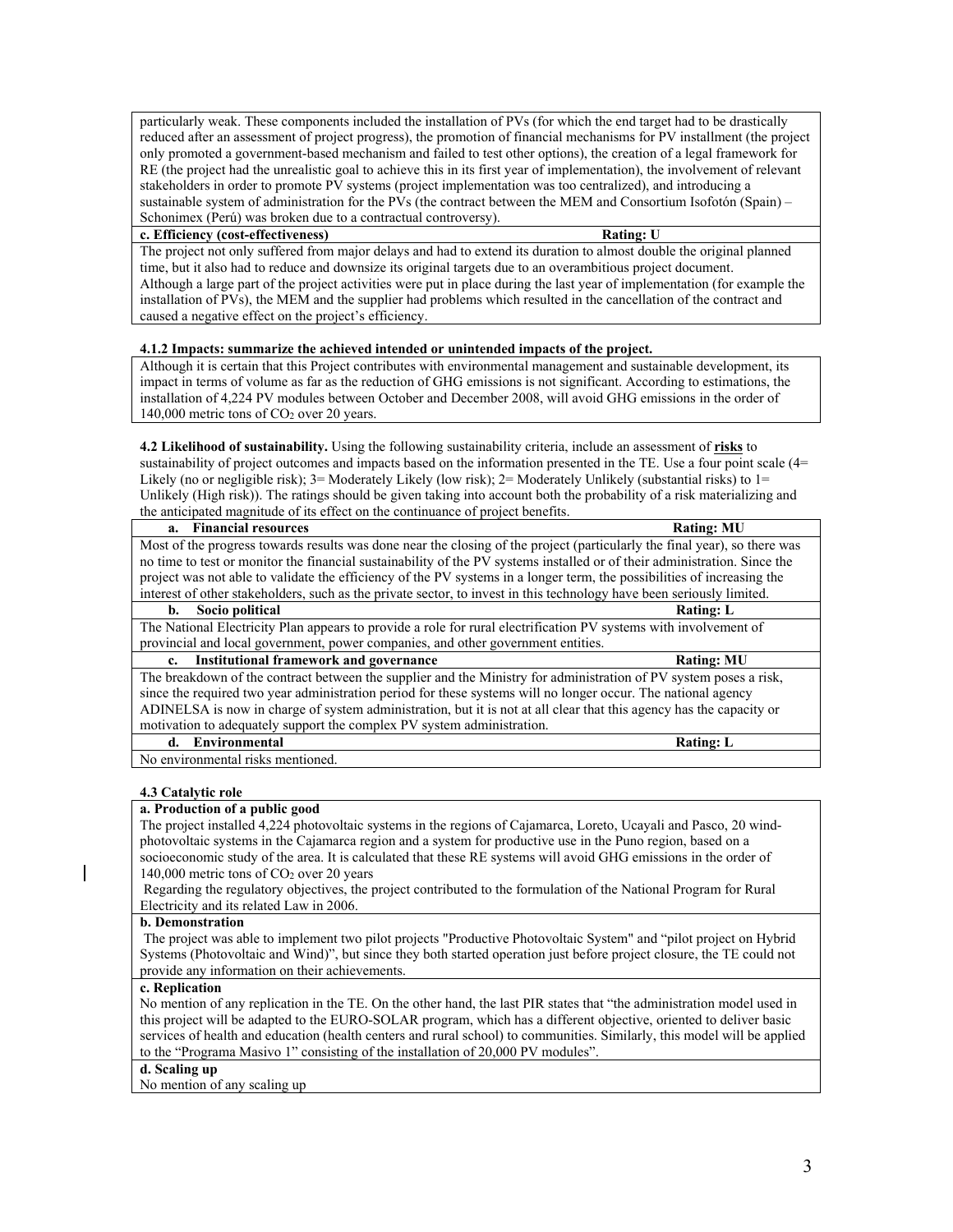particularly weak. These components included the installation of PVs (for which the end target had to be drastically reduced after an assessment of project progress), the promotion of financial mechanisms for PV installment (the project only promoted a government-based mechanism and failed to test other options), the creation of a legal framework for RE (the project had the unrealistic goal to achieve this in its first year of implementation), the involvement of relevant stakeholders in order to promote PV systems (project implementation was too centralized), and introducing a sustainable system of administration for the PVs (the contract between the MEM and Consortium Isofotón (Spain) – Schonimex (Perú) was broken due to a contractual controversy).

#### **c. Efficiency (cost-effectiveness) Rating: U**

The project not only suffered from major delays and had to extend its duration to almost double the original planned time, but it also had to reduce and downsize its original targets due to an overambitious project document. Although a large part of the project activities were put in place during the last year of implementation (for example the installation of PVs), the MEM and the supplier had problems which resulted in the cancellation of the contract and caused a negative effect on the project's efficiency.

# **4.1.2 Impacts: summarize the achieved intended or unintended impacts of the project.**

Although it is certain that this Project contributes with environmental management and sustainable development, its impact in terms of volume as far as the reduction of GHG emissions is not significant. According to estimations, the installation of 4,224 PV modules between October and December 2008, will avoid GHG emissions in the order of 140,000 metric tons of CO<sub>2</sub> over 20 years.

**4.2 Likelihood of sustainability.** Using the following sustainability criteria, include an assessment of **risks** to sustainability of project outcomes and impacts based on the information presented in the TE. Use a four point scale (4= Likely (no or negligible risk); 3= Moderately Likely (low risk); 2= Moderately Unlikely (substantial risks) to 1= Unlikely (High risk)). The ratings should be given taking into account both the probability of a risk materializing and the anticipated magnitude of its effect on the continuance of project benefits.

| a. Financial resources                                                                                                    | <b>Rating: MU</b> |  |
|---------------------------------------------------------------------------------------------------------------------------|-------------------|--|
| Most of the progress towards results was done near the closing of the project (particularly the final year), so there was |                   |  |
| no time to test or monitor the financial sustainability of the PV systems installed or of their administration. Since the |                   |  |
| project was not able to validate the efficiency of the PV systems in a longer term, the possibilities of increasing the   |                   |  |
| interest of other stakeholders, such as the private sector, to invest in this technology have been seriously limited.     |                   |  |
| Socio political<br>b.                                                                                                     | <b>Rating: L</b>  |  |
| The National Electricity Plan appears to provide a role for rural electrification PV systems with involvement of          |                   |  |
| provincial and local government, power companies, and other government entities.                                          |                   |  |
| Institutional framework and governance<br>$c_{\rm}$                                                                       | <b>Rating: MU</b> |  |
| The breakdown of the contract between the supplier and the Ministry for administration of PV system poses a risk,         |                   |  |
| since the required two year administration period for these systems will no longer occur. The national agency             |                   |  |
| ADINELSA is now in charge of system administration, but it is not at all clear that this agency has the capacity or       |                   |  |

**d.** Environmental Rating: L No environmental risks mentioned.

motivation to adequately support the complex PV system administration.

#### **4.3 Catalytic role**

#### **a. Production of a public good**

The project installed 4,224 photovoltaic systems in the regions of Cajamarca, Loreto, Ucayali and Pasco, 20 windphotovoltaic systems in the Cajamarca region and a system for productive use in the Puno region, based on a socioeconomic study of the area. It is calculated that these RE systems will avoid GHG emissions in the order of 140,000 metric tons of CO2 over 20 years

Regarding the regulatory objectives, the project contributed to the formulation of the National Program for Rural Electricity and its related Law in 2006.

# **b. Demonstration**

The project was able to implement two pilot projects "Productive Photovoltaic System" and "pilot project on Hybrid Systems (Photovoltaic and Wind)", but since they both started operation just before project closure, the TE could not provide any information on their achievements.

#### **c. Replication**

No mention of any replication in the TE. On the other hand, the last PIR states that "the administration model used in this project will be adapted to the EURO-SOLAR program, which has a different objective, oriented to deliver basic services of health and education (health centers and rural school) to communities. Similarly, this model will be applied to the "Programa Masivo 1" consisting of the installation of 20,000 PV modules".

#### **d. Scaling up**

No mention of any scaling up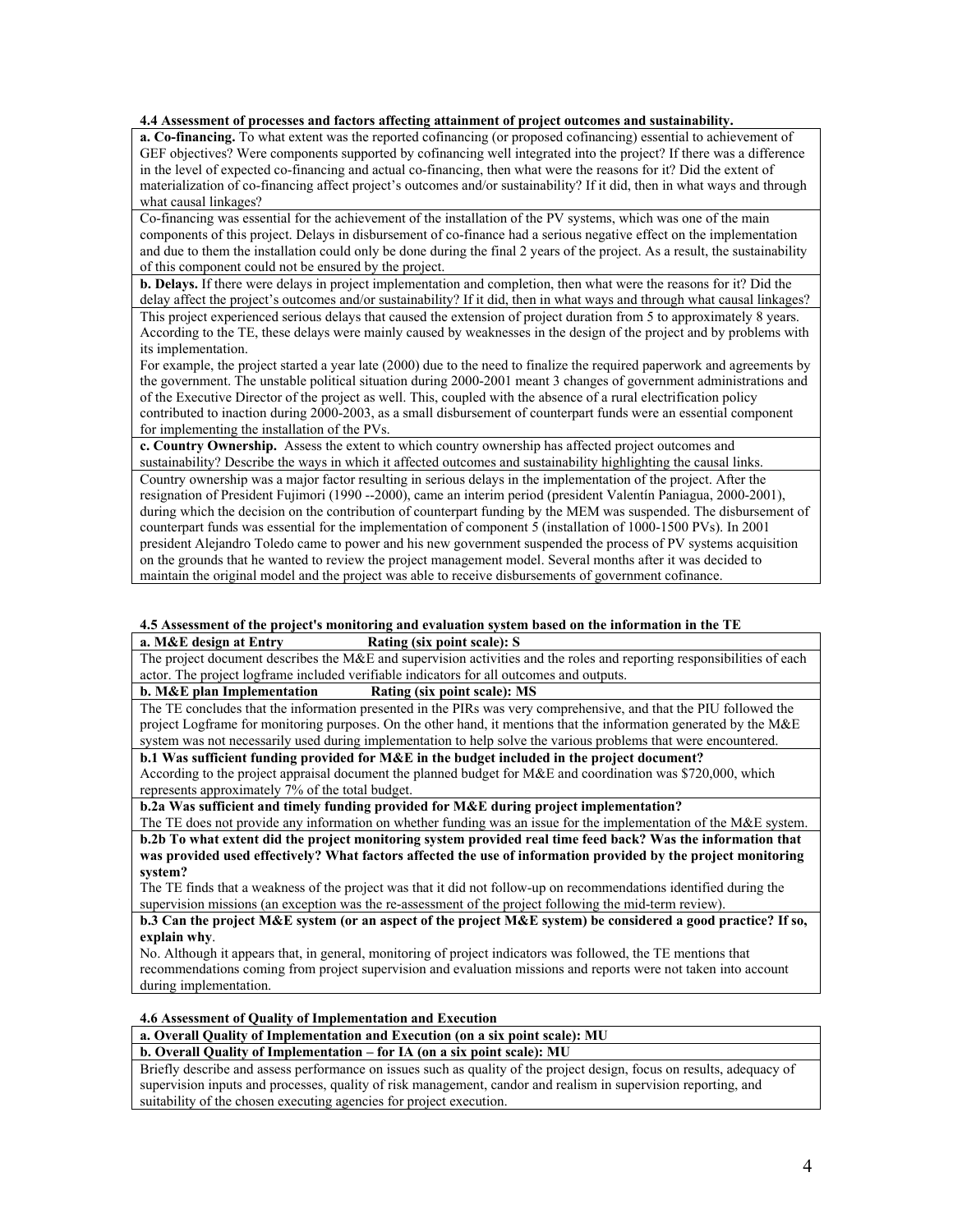# **4.4 Assessment of processes and factors affecting attainment of project outcomes and sustainability.**

**a. Co-financing.** To what extent was the reported cofinancing (or proposed cofinancing) essential to achievement of GEF objectives? Were components supported by cofinancing well integrated into the project? If there was a difference in the level of expected co-financing and actual co-financing, then what were the reasons for it? Did the extent of materialization of co-financing affect project's outcomes and/or sustainability? If it did, then in what ways and through what causal linkages?

Co-financing was essential for the achievement of the installation of the PV systems, which was one of the main components of this project. Delays in disbursement of co-finance had a serious negative effect on the implementation and due to them the installation could only be done during the final 2 years of the project. As a result, the sustainability of this component could not be ensured by the project.

**b. Delays.** If there were delays in project implementation and completion, then what were the reasons for it? Did the delay affect the project's outcomes and/or sustainability? If it did, then in what ways and through what causal linkages? This project experienced serious delays that caused the extension of project duration from 5 to approximately 8 years. According to the TE, these delays were mainly caused by weaknesses in the design of the project and by problems with its implementation.

For example, the project started a year late (2000) due to the need to finalize the required paperwork and agreements by the government. The unstable political situation during 2000-2001 meant 3 changes of government administrations and of the Executive Director of the project as well. This, coupled with the absence of a rural electrification policy contributed to inaction during 2000-2003, as a small disbursement of counterpart funds were an essential component for implementing the installation of the PVs.

**c. Country Ownership.** Assess the extent to which country ownership has affected project outcomes and sustainability? Describe the ways in which it affected outcomes and sustainability highlighting the causal links. Country ownership was a major factor resulting in serious delays in the implementation of the project. After the resignation of President Fujimori (1990 --2000), came an interim period (president Valentín Paniagua, 2000-2001), during which the decision on the contribution of counterpart funding by the MEM was suspended. The disbursement of counterpart funds was essential for the implementation of component 5 (installation of 1000-1500 PVs). In 2001 president Alejandro Toledo came to power and his new government suspended the process of PV systems acquisition

on the grounds that he wanted to review the project management model. Several months after it was decided to maintain the original model and the project was able to receive disbursements of government cofinance.

# **4.5 Assessment of the project's monitoring and evaluation system based on the information in the TE Rating (six point scale): S**

The project document describes the M&E and supervision activities and the roles and reporting responsibilities of each actor. The project logframe included verifiable indicators for all outcomes and outputs.<br> **b.** M&E plan Implementation Rating (six point scale): MS

#### **b. M&E plan Implementation**

The TE concludes that the information presented in the PIRs was very comprehensive, and that the PIU followed the project Logframe for monitoring purposes. On the other hand, it mentions that the information generated by the M&E system was not necessarily used during implementation to help solve the various problems that were encountered.

# **b.1 Was sufficient funding provided for M&E in the budget included in the project document?**

According to the project appraisal document the planned budget for M&E and coordination was \$720,000, which represents approximately 7% of the total budget.

**b.2a Was sufficient and timely funding provided for M&E during project implementation?**

The TE does not provide any information on whether funding was an issue for the implementation of the M&E system.

**b.2b To what extent did the project monitoring system provided real time feed back? Was the information that was provided used effectively? What factors affected the use of information provided by the project monitoring system?**

The TE finds that a weakness of the project was that it did not follow-up on recommendations identified during the supervision missions (an exception was the re-assessment of the project following the mid-term review).

**b.3 Can the project M&E system (or an aspect of the project M&E system) be considered a good practice? If so, explain why**.

No. Although it appears that, in general, monitoring of project indicators was followed, the TE mentions that recommendations coming from project supervision and evaluation missions and reports were not taken into account during implementation.

#### **4.6 Assessment of Quality of Implementation and Execution**

**a. Overall Quality of Implementation and Execution (on a six point scale): MU**

# **b. Overall Quality of Implementation – for IA (on a six point scale): MU**

Briefly describe and assess performance on issues such as quality of the project design, focus on results, adequacy of supervision inputs and processes, quality of risk management, candor and realism in supervision reporting, and suitability of the chosen executing agencies for project execution.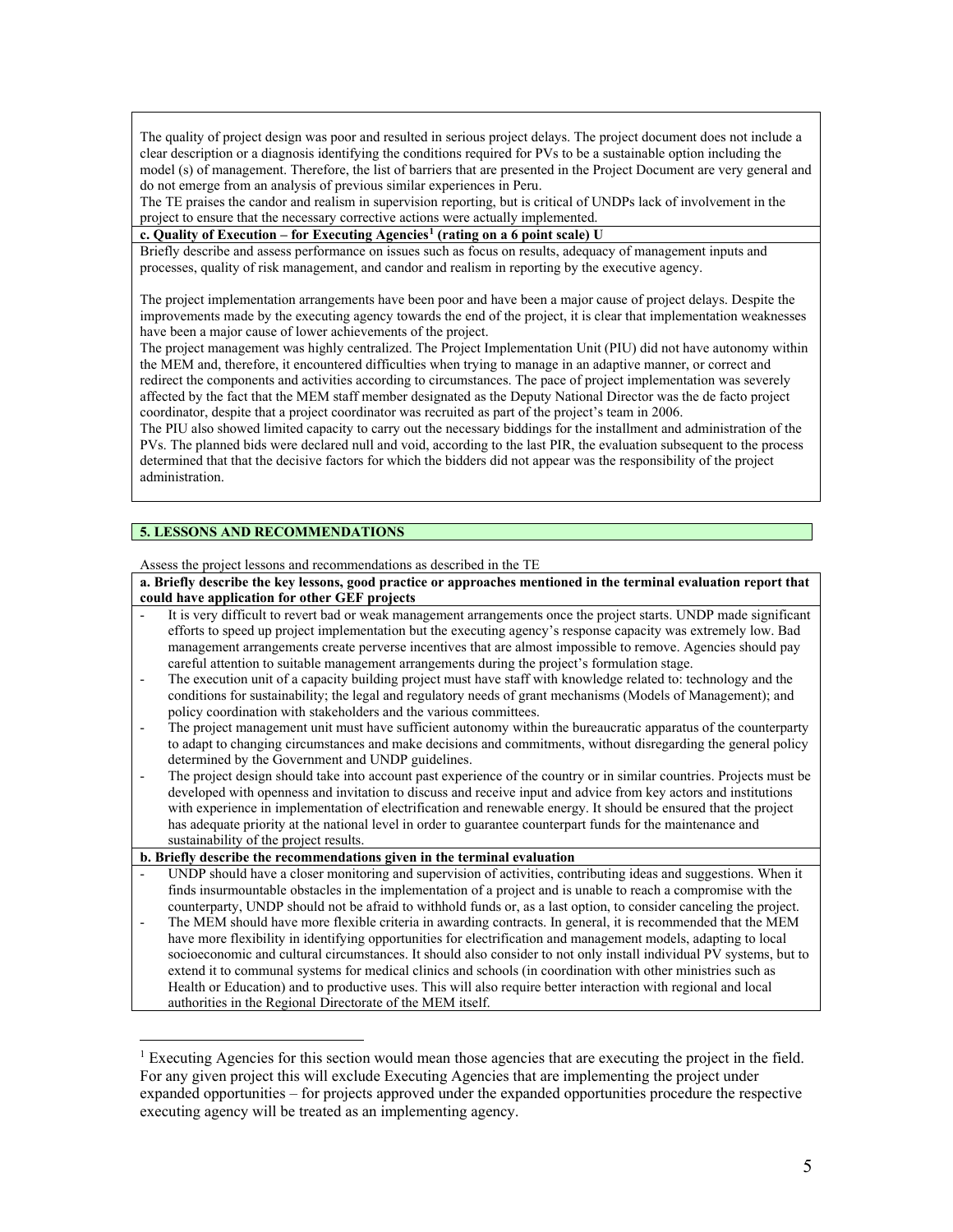The quality of project design was poor and resulted in serious project delays. The project document does not include a clear description or a diagnosis identifying the conditions required for PVs to be a sustainable option including the model (s) of management. Therefore, the list of barriers that are presented in the Project Document are very general and do not emerge from an analysis of previous similar experiences in Peru.

The TE praises the candor and realism in supervision reporting, but is critical of UNDPs lack of involvement in the project to ensure that the necessary corrective actions were actually implemented.

**c. Quality of Execution – for Executing Agencies[1](#page-4-0) (rating on a 6 point scale) U**

Briefly describe and assess performance on issues such as focus on results, adequacy of management inputs and processes, quality of risk management, and candor and realism in reporting by the executive agency.

The project implementation arrangements have been poor and have been a major cause of project delays. Despite the improvements made by the executing agency towards the end of the project, it is clear that implementation weaknesses have been a major cause of lower achievements of the project.

The project management was highly centralized. The Project Implementation Unit (PIU) did not have autonomy within the MEM and, therefore, it encountered difficulties when trying to manage in an adaptive manner, or correct and redirect the components and activities according to circumstances. The pace of project implementation was severely affected by the fact that the MEM staff member designated as the Deputy National Director was the de facto project coordinator, despite that a project coordinator was recruited as part of the project's team in 2006.

The PIU also showed limited capacity to carry out the necessary biddings for the installment and administration of the PVs. The planned bids were declared null and void, according to the last PIR, the evaluation subsequent to the process determined that that the decisive factors for which the bidders did not appear was the responsibility of the project administration.

# **5. LESSONS AND RECOMMENDATIONS**

 $\overline{a}$ 

Assess the project lessons and recommendations as described in the TE

**a. Briefly describe the key lessons, good practice or approaches mentioned in the terminal evaluation report that could have application for other GEF projects**

- It is very difficult to revert bad or weak management arrangements once the project starts. UNDP made significant efforts to speed up project implementation but the executing agency's response capacity was extremely low. Bad management arrangements create perverse incentives that are almost impossible to remove. Agencies should pay careful attention to suitable management arrangements during the project's formulation stage.
- The execution unit of a capacity building project must have staff with knowledge related to: technology and the conditions for sustainability; the legal and regulatory needs of grant mechanisms (Models of Management); and policy coordination with stakeholders and the various committees.
- The project management unit must have sufficient autonomy within the bureaucratic apparatus of the counterparty to adapt to changing circumstances and make decisions and commitments, without disregarding the general policy determined by the Government and UNDP guidelines.
- The project design should take into account past experience of the country or in similar countries. Projects must be developed with openness and invitation to discuss and receive input and advice from key actors and institutions with experience in implementation of electrification and renewable energy. It should be ensured that the project has adequate priority at the national level in order to guarantee counterpart funds for the maintenance and sustainability of the project results.

**b. Briefly describe the recommendations given in the terminal evaluation** 

- UNDP should have a closer monitoring and supervision of activities, contributing ideas and suggestions. When it finds insurmountable obstacles in the implementation of a project and is unable to reach a compromise with the counterparty, UNDP should not be afraid to withhold funds or, as a last option, to consider canceling the project.
- The MEM should have more flexible criteria in awarding contracts. In general, it is recommended that the MEM have more flexibility in identifying opportunities for electrification and management models, adapting to local socioeconomic and cultural circumstances. It should also consider to not only install individual PV systems, but to extend it to communal systems for medical clinics and schools (in coordination with other ministries such as Health or Education) and to productive uses. This will also require better interaction with regional and local authorities in the Regional Directorate of the MEM itself.

<span id="page-4-0"></span><sup>&</sup>lt;sup>1</sup> Executing Agencies for this section would mean those agencies that are executing the project in the field. For any given project this will exclude Executing Agencies that are implementing the project under expanded opportunities – for projects approved under the expanded opportunities procedure the respective executing agency will be treated as an implementing agency.